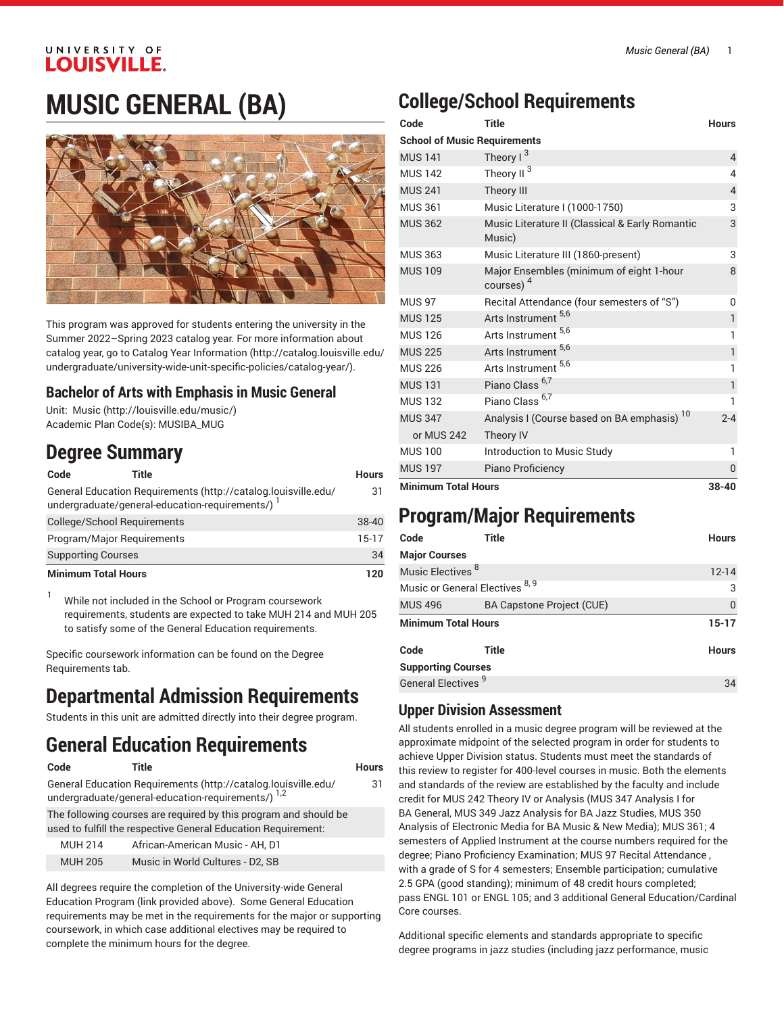# UNIVERSITY OF **LOUISVILLE.**

# **MUSIC GENERAL (BA)**



This program was approved for students entering the university in the Summer 2022–Spring 2023 catalog year. For more information about catalog year, go to Catalog Year [Information](http://catalog.louisville.edu/undergraduate/university-wide-unit-specific-policies/catalog-year/) ([http://catalog.louisville.edu/](http://catalog.louisville.edu/undergraduate/university-wide-unit-specific-policies/catalog-year/) [undergraduate/university-wide-unit-specific-policies/catalog-year/](http://catalog.louisville.edu/undergraduate/university-wide-unit-specific-policies/catalog-year/)).

### **Bachelor of Arts with Emphasis in Music General**

Unit: [Music \(http://louisville.edu/music/](http://louisville.edu/music/)) Academic Plan Code(s): MUSIBA\_MUG

## **Degree Summary**

| Code                       | Title                                                                                                              | <b>Hours</b> |
|----------------------------|--------------------------------------------------------------------------------------------------------------------|--------------|
|                            | General Education Requirements (http://catalog.louisville.edu/<br>undergraduate/general-education-requirements/) 1 | 31           |
|                            | College/School Requirements                                                                                        | $38-40$      |
|                            | Program/Major Requirements                                                                                         | $15-17$      |
| <b>Supporting Courses</b>  |                                                                                                                    | 34           |
| <b>Minimum Total Hours</b> |                                                                                                                    | 120          |

 $1$  While not included in the School or Program coursework requirements, students are expected to take MUH 214 and MUH 205 to satisfy some of the General Education requirements.

Specific coursework information can be found on the Degree Requirements tab.

# **Departmental Admission Requirements**

Students in this unit are admitted directly into their degree program.

# **General Education Requirements**

```
Code Title Hours
```

```
General Education Requirements (http://catalog.louisville.edu/
```
The following courses are required by this program and should be used to fulfill the respective General Education Requirement:

| <b>MUH 214</b> | African-American Music - AH. D1  |
|----------------|----------------------------------|
| <b>MUH 205</b> | Music in World Cultures - D2, SB |

[undergraduate/general-education-requirements/\)](http://catalog.louisville.edu/undergraduate/general-education-requirements/) <sup>1,2</sup>

All degrees require the completion of the University-wide General Education Program (link provided above). Some General Education requirements may be met in the requirements for the major or supporting coursework, in which case additional electives may be required to complete the minimum hours for the degree.

# **College/School Requirements**

| Code                                | Title                                                             | <b>Hours</b>   |
|-------------------------------------|-------------------------------------------------------------------|----------------|
| <b>School of Music Requirements</b> |                                                                   |                |
| <b>MUS 141</b>                      | Theory $1^3$                                                      | 4              |
| <b>MUS 142</b>                      | Theory II <sup>3</sup>                                            | 4              |
| <b>MUS 241</b>                      | Theory III                                                        | $\overline{4}$ |
| <b>MUS 361</b>                      | Music Literature I (1000-1750)                                    | 3              |
| <b>MUS 362</b>                      | Music Literature II (Classical & Early Romantic<br>Music)         | 3              |
| <b>MUS 363</b>                      | Music Literature III (1860-present)                               | 3              |
| <b>MUS 109</b>                      | Major Ensembles (minimum of eight 1-hour<br>courses) <sup>4</sup> | 8              |
| <b>MUS 97</b>                       | Recital Attendance (four semesters of "S")                        | 0              |
| <b>MUS 125</b>                      | Arts Instrument 5,6                                               | $\mathbf{1}$   |
| <b>MUS 126</b>                      | Arts Instrument 5,6                                               | 1              |
| <b>MUS 225</b>                      | Arts Instrument 5,6                                               | 1              |
| <b>MUS 226</b>                      | Arts Instrument 5,6                                               | 1              |
| <b>MUS 131</b>                      | Piano Class <sup>6,7</sup>                                        | 1              |
| <b>MUS 132</b>                      | Piano Class <sup>6,7</sup>                                        | 1              |
| <b>MUS 347</b>                      | Analysis I (Course based on BA emphasis) <sup>10</sup>            | $2 - 4$        |
| or MUS 242                          | Theory IV                                                         |                |
| <b>MUS 100</b>                      | Introduction to Music Study                                       | 1              |
| <b>MUS 197</b>                      | Piano Proficiency                                                 | 0              |
| <b>Minimum Total Hours</b>          |                                                                   | $38 - 40$      |

# **Program/Major Requirements**

| Code                            | Title                            | <b>Hours</b> |
|---------------------------------|----------------------------------|--------------|
| <b>Major Courses</b>            |                                  |              |
| Music Electives <sup>8</sup>    |                                  | $12 - 14$    |
| Music or General Electives 8, 9 |                                  | 3            |
| <b>MUS 496</b>                  | <b>BA Capstone Project (CUE)</b> | $\Omega$     |
| <b>Minimum Total Hours</b>      |                                  | $15-17$      |
| Code                            | Title                            | <b>Hours</b> |
| <b>Supporting Courses</b>       |                                  |              |
| General Electives <sup>9</sup>  |                                  | 34           |
|                                 |                                  |              |

### **Upper Division Assessment**

All students enrolled in a music degree program will be reviewed at the approximate midpoint of the selected program in order for students to achieve Upper Division status. Students must meet the standards of this review to register for 400-level courses in music. Both the elements and standards of the review are established by the faculty and include credit for MUS 242 Theory IV or Analysis (MUS 347 Analysis I for BA General, MUS 349 Jazz Analysis for BA Jazz Studies, MUS 350 Analysis of Electronic Media for BA Music & New Media); MUS 361; 4 semesters of Applied Instrument at the course numbers required for the degree; Piano Proficiency Examination; MUS 97 Recital Attendance , with a grade of S for 4 semesters; Ensemble participation; cumulative 2.5 GPA (good standing); minimum of 48 credit hours completed; pass ENGL 101 or ENGL 105; and 3 additional General Education/Cardinal Core courses.

Additional specific elements and standards appropriate to specific degree programs in jazz studies (including jazz performance, music

### 31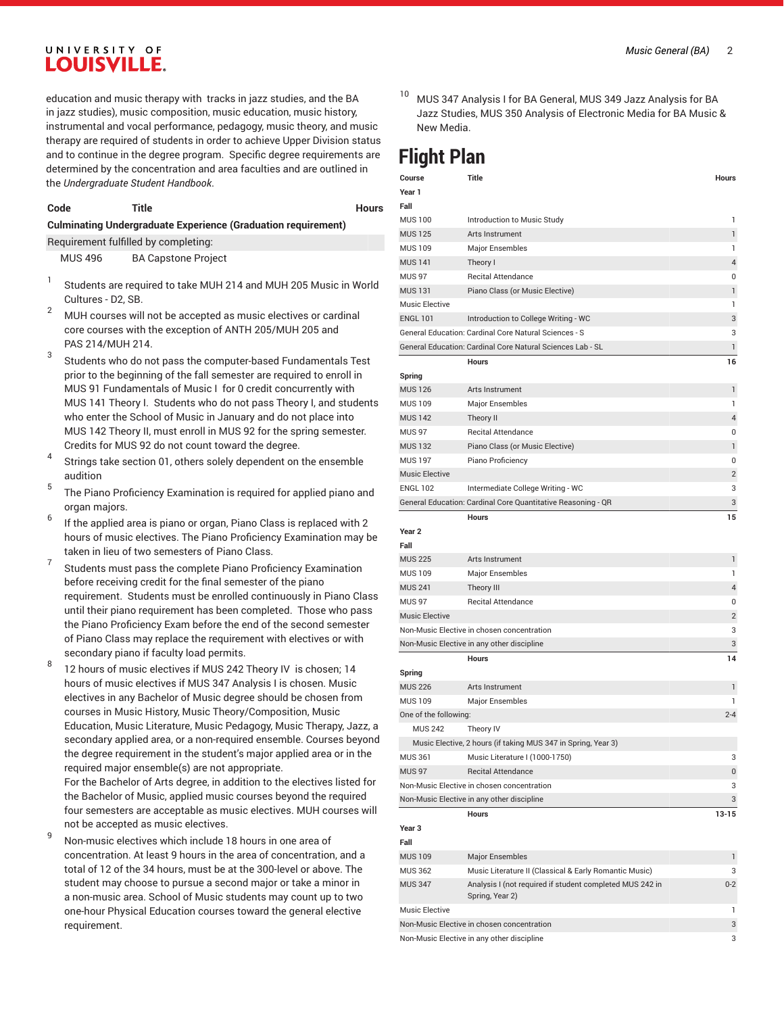### UNIVERSITY OF **LOUISVILLE.**

education and music therapy with tracks in jazz studies, and the BA in jazz studies), music composition, music education, music history, instrumental and vocal performance, pedagogy, music theory, and music therapy are required of students in order to achieve Upper Division status and to continue in the degree program. Specific degree requirements are determined by the concentration and area faculties and are outlined in the *Undergraduate Student Handbook*.

#### **Code Title Hours**

#### **Culminating Undergraduate Experience (Graduation requirement)**

Requirement fulfilled by completing: MUS 496 BA Capstone Project

- 1 Students are required to take MUH 214 and MUH 205 Music in World Cultures - D2, SB.
- $2^{2}$  MUH courses will not be accepted as music electives or cardinal core courses with the exception of ANTH 205/MUH 205 and PAS 214/MUH 214.
- 3 Students who do not pass the computer-based Fundamentals Test prior to the beginning of the fall semester are required to enroll in MUS 91 Fundamentals of Music I for 0 credit concurrently with MUS 141 Theory I. Students who do not pass Theory I, and students who enter the School of Music in January and do not place into MUS 142 Theory II, must enroll in MUS 92 for the spring semester. Credits for MUS 92 do not count toward the degree.
- 4 Strings take section 01, others solely dependent on the ensemble audition
- 5 The Piano Proficiency Examination is required for applied piano and organ majors.
- 6 If the applied area is piano or organ, Piano Class is replaced with 2 hours of music electives. The Piano Proficiency Examination may be taken in lieu of two semesters of Piano Class.
- 7 Students must pass the complete Piano Proficiency Examination before receiving credit for the final semester of the piano requirement. Students must be enrolled continuously in Piano Class until their piano requirement has been completed. Those who pass the Piano Proficiency Exam before the end of the second semester of Piano Class may replace the requirement with electives or with secondary piano if faculty load permits.
- 8 12 hours of music electives if MUS 242 Theory IV is chosen; 14 hours of music electives if MUS 347 Analysis I is chosen. Music electives in any Bachelor of Music degree should be chosen from courses in Music History, Music Theory/Composition, Music Education, Music Literature, Music Pedagogy, Music Therapy, Jazz, a secondary applied area, or a non-required ensemble. Courses beyond the degree requirement in the student's major applied area or in the required major ensemble(s) are not appropriate. For the Bachelor of Arts degree, in addition to the electives listed for the Bachelor of Music, applied music courses beyond the required

four semesters are acceptable as music electives. MUH courses will not be accepted as music electives. 9 Non-music electives which include 18 hours in one area of

concentration. At least 9 hours in the area of concentration, and a total of 12 of the 34 hours, must be at the 300-level or above. The student may choose to pursue a second major or take a minor in a non-music area. School of Music students may count up to two one-hour Physical Education courses toward the general elective requirement.

- *Music General (BA)* 2
- MUS 347 Analysis I for BA General, MUS 349 Jazz Analysis for BA Jazz Studies, MUS 350 Analysis of Electronic Media for BA Music & New Media.

# **Flight Plan**

| Course<br>Year 1      | Title                                                         | <b>Hours</b>   |
|-----------------------|---------------------------------------------------------------|----------------|
| Fall                  |                                                               |                |
| <b>MUS 100</b>        | Introduction to Music Study                                   | 1              |
| <b>MUS125</b>         | Arts Instrument                                               | 1              |
| <b>MUS 109</b>        | <b>Major Ensembles</b>                                        | 1              |
| <b>MUS 141</b>        | Theory I                                                      | 4              |
| <b>MUS 97</b>         | <b>Recital Attendance</b>                                     | 0              |
| <b>MUS 131</b>        | Piano Class (or Music Elective)                               | 1              |
| <b>Music Elective</b> |                                                               | 1              |
| <b>ENGL 101</b>       | Introduction to College Writing - WC                          | 3              |
|                       | General Education: Cardinal Core Natural Sciences - S         | 3              |
|                       | General Education: Cardinal Core Natural Sciences Lab - SL    | 1              |
|                       | <b>Hours</b>                                                  | 16             |
| Spring                |                                                               |                |
| <b>MUS 126</b>        | Arts Instrument                                               | 1              |
| <b>MUS 109</b>        | Major Ensembles                                               | 1              |
| <b>MUS 142</b>        | Theory II                                                     | 4              |
| <b>MUS 97</b>         | <b>Recital Attendance</b>                                     | 0              |
| <b>MUS 132</b>        | Piano Class (or Music Elective)                               | 1              |
| <b>MUS197</b>         | Piano Proficiency                                             | 0              |
| <b>Music Elective</b> |                                                               | 2              |
| <b>ENGL 102</b>       | Intermediate College Writing - WC                             | 3              |
|                       | General Education: Cardinal Core Quantitative Reasoning - QR  | 3              |
|                       | Hours                                                         | 15             |
| Year 2                |                                                               |                |
| Fall                  |                                                               |                |
| <b>MUS 225</b>        | Arts Instrument                                               | 1              |
| <b>MUS 109</b>        | Major Ensembles                                               | 1              |
| <b>MUS 241</b>        | Theory III                                                    | 4              |
| <b>MUS 97</b>         | <b>Recital Attendance</b>                                     | 0              |
| <b>Music Elective</b> |                                                               | $\overline{2}$ |
|                       | Non-Music Elective in chosen concentration                    | 3              |
|                       | Non-Music Elective in any other discipline                    | 3              |
|                       | <b>Hours</b>                                                  | 14             |
| Spring                |                                                               |                |
| <b>MUS 226</b>        | Arts Instrument                                               | 1              |
| <b>MUS 109</b>        | Major Ensembles                                               | 1              |
| One of the following: |                                                               | $2 - 4$        |
| <b>MUS 242</b>        | Theory IV                                                     |                |
|                       | Music Elective, 2 hours (if taking MUS 347 in Spring, Year 3) |                |
| <b>MUS 361</b>        | Music Literature I (1000-1750)                                | 3              |
| <b>MUS 97</b>         | <b>Recital Attendance</b>                                     | 0              |
|                       | Non-Music Elective in chosen concentration                    | 3              |
|                       | Non-Music Elective in any other discipline                    | 3              |
|                       | <b>Hours</b>                                                  | $13 - 15$      |
| Year 3                |                                                               |                |
| Fall                  |                                                               |                |
| <b>MUS 109</b>        | <b>Major Ensembles</b>                                        | 1              |
| <b>MUS 362</b>        | Music Literature II (Classical & Early Romantic Music)        | 3              |
| <b>MUS 347</b>        | Analysis I (not required if student completed MUS 242 in      | $0 - 2$        |
|                       | Spring, Year 2)                                               |                |
| Music Elective        |                                                               | 1              |
|                       | Non-Music Elective in chosen concentration                    | 3              |
|                       | Non-Music Elective in any other discipline                    | 3              |